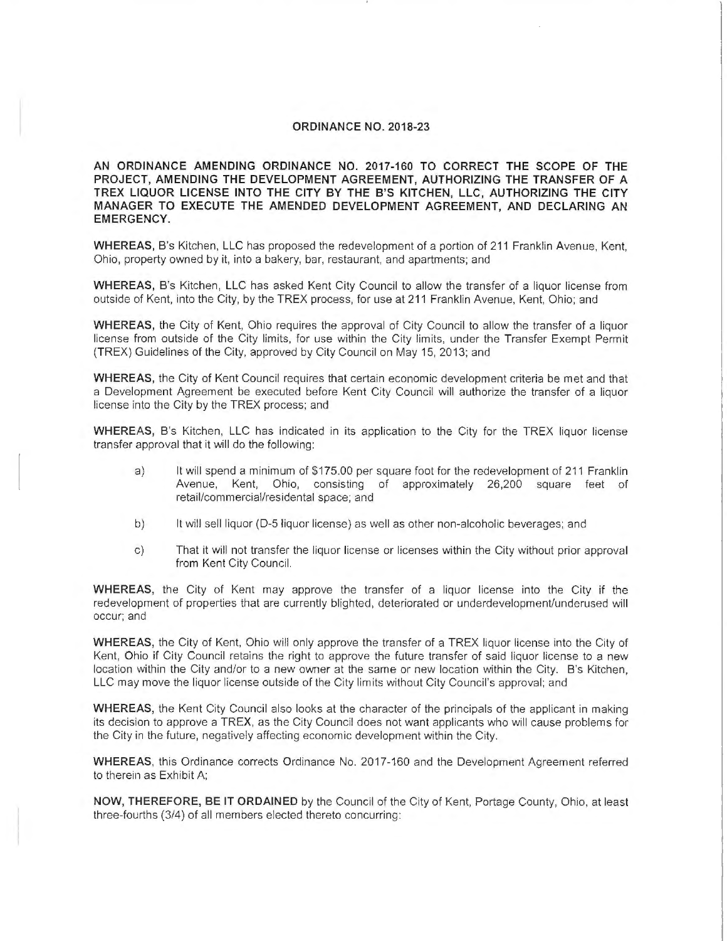### **ORDINANCE NO. 2018-23**

**AN ORDINANCE AMENDING ORDINANCE NO. 2017-160 TO CORRECT THE SCOPE OF THE PROJECT, AMENDING THE DEVELOPMENT AGREEMENT, AUTHORIZING THE TRANSFER OF A TREX LIQUOR LICENSE INTO THE CITY BY THE B'S KITCHEN, LLC, AUTHORIZING THE CITY MANAGER TO EXECUTE THE AMENDED DEVELOPMENT AGREEMENT, AND DECLARING AN EMERGENCY.** 

**WHEREAS,** B's Kitchen, LLC has proposed the redevelopment of a portion of 211 Franklin Avenue, Kent, Ohio, property owned by it, into a bakery, bar, restaurant, and apartments; and

**WHEREAS,** B's Kitchen, LLC has asked Kent City Council to allow the transfer of a liquor license from outside of Kent, into the City, by the TREX process, for use at 211 Franklin Avenue, Kent, Ohio; and

**WHEREAS,** the City of Kent, Ohio requires the approval of City Council to allow the transfer of a liquor license from outside of the City limits, for use within the City limits, under the Transfer Exempt Permit (TREX) Guidelines of the City, approved by City Council on May 15, 2013; and

**WHEREAS,** the City of Kent Council requires that certain economic development criteria be met and that a Development Agreement be executed before Kent City Council will authorize the transfer of a liquor license into the City by the TREX process; and

**WHEREAS,** B's Kitchen, LLC has indicated in its application to the City for the TREX liquor license transfer approval that it will do the following:

- a) It will spend a minimum of \$175.00 per square foot for the redevelopment of 211 Franklin Avenue, Kent, Ohio, consisting of approximately 26,200 square feet of retail/commercial/residental space; and
- b) It will sell liquor (D-5 liquor license) as well as other non-alcoholic beverages; and
- c) That it will not transfer the liquor license or licenses within the City without prior approval from Kent City Council.

**WHEREAS,** the City of Kent may approve the transfer of a liquor license into the City if the redevelopment of properties that are currently blighted, deteriorated or underdevelopment/underused will occur; and

**WHEREAS,** the City of Kent, Ohio will only approve the transfer of a TREX liquor license into the City of Kent, Ohio if City Council retains the right to approve the future transfer of said liquor license to a new location within the City and/or to a new owner at the same or new location within the City. B's Kitchen, LLC may move the liquor license outside of the City limits without City Council's approval; and

**WHEREAS,** the Kent City Council also looks at the character of the principals of the applicant in making its decision to approve a TREX, as the City Council does not want applicants who will cause problems for the City in the future, negatively affecting economic development within the City.

**WHEREAS,** this Ordinance corrects Ordinance No. 2017-160 and the Development Agreement referred to therein as Exhibit A;

**NOW, THEREFORE, BE IT ORDAINED** by the Council of the City of Kent, Portage County, Ohio, at least three-fourths (3/4) of all members elected thereto concurring: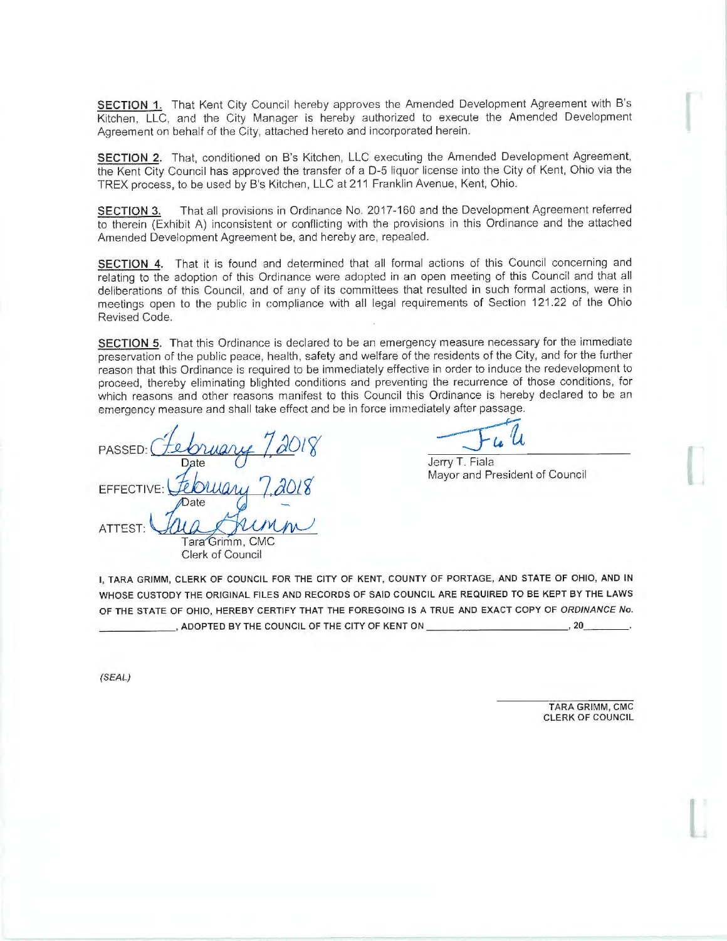**SECTION 1.** That Kent City Council hereby approves the Amended Development Agreement with B's Kitchen, LLC, and the City Manager is hereby authorized to execute the Amended Development Agreement on behalf of the City, attached hereto and incorporated herein.

**SECTION 2.** That, conditioned on B's Kitchen, LLC executing the Amended Development Agreement, the Kent City Council has approved the transfer of a 0-5 liquor license into the City of Kent, Ohio via the TREX process, to be used by B's Kitchen, LLC at 211 Franklin Avenue, Kent, Ohio.

**SECTION 3.** That all provisions in Ordinance No. 2017-160 and the Development Agreement referred to therein (Exhibit A) inconsistent or conflicting with the provisions in this Ordinance and the attached Amended Development Agreement be, and hereby are, repealed.

**SECTION 4.** That it is found and determined that all formal actions of this Council concerning and relating to the adoption of this Ordinance were adopted in an open meeting of this Council and that all deliberations of this Council, and of any of its committees that resulted in such formal actions, were in meetings open to the public in compliance with all legal requirements of Section 121.22 of the Ohio Revised Code.

**SECTION 5.** That this Ordinance is declared to be an emergency measure necessary for the immediate preservation of the public peace, health, safety and welfare of the residents of the City, and for the further reason that this Ordinance is required to be immediately effective in order to induce the redevelopment to proceed, thereby eliminating blighted conditions and preventing the recurrence of those conditions, for proceed, thereby entimaling bigined conditions and preventing the recurrence of those conditions, for<br>which reasons and other reasons manifest to this Council this Ordinance is hereby declared to be an<br>emergency measure an emergency measure and shall take effect and be in force immediately after passage.

PASSED: **EFFECTIVE** ATTEST:

Mayor and President of Council

Tara Grimm, CMC Clerk of Council

OF THE STATE OF OHIO, HEREBY CERTIFY THAT THE FOREGOING IS A TRUE AND EXACT COPY OF ORDINANCE No. , ADOPTED BY THE COUNCIL OF THE CITY OF KENT ON \_\_\_\_\_\_\_\_\_\_\_\_\_\_\_\_\_\_\_\_\_\_\_\_\_\_\_\_\_\_\_\_, 20

I, TARA GRIMM, CLERK OF COUNCIL FOR THE CITY OF KENT, COUNTY OF PORTAGE, AND STATE OF OHIO, AND IN WHOSE CUSTODY THE ORIGINAL FILES AND RECORDS OF SAID COUNCIL ARE REQUIRED TO BE KEPT BY THE LAWS

(SEAL)

TARA GRIMM, CMG CLERK OF COUNCIL I

I

l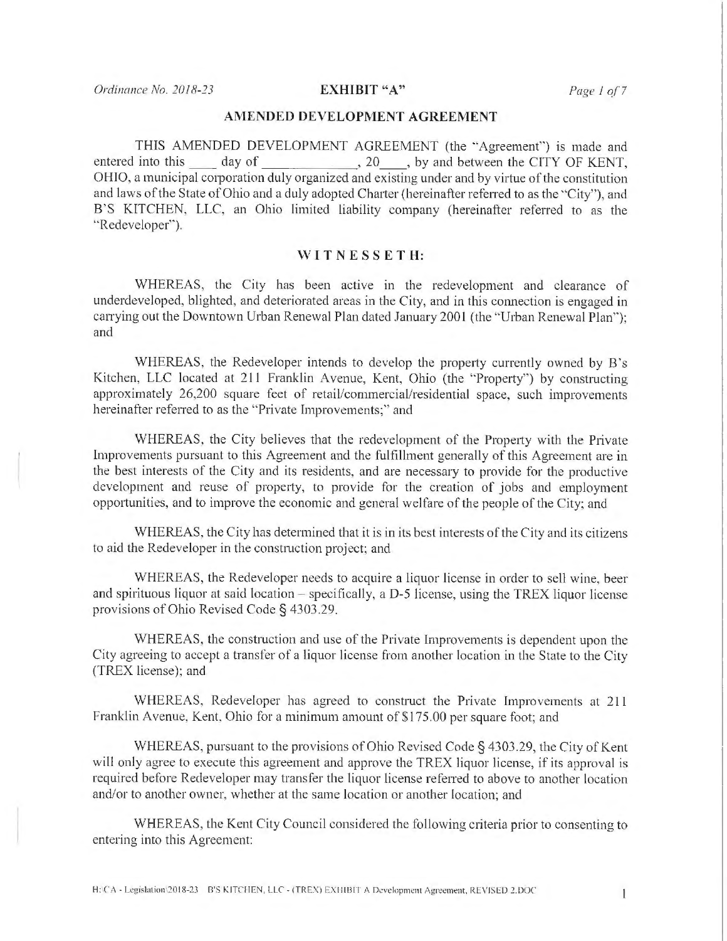## **AMENDED DEVELOPMENT AGREEMENT**

THIS AMENDED DEVELOPMENT AGREEMENT (the "Agreement'') is made and entered into this \_\_\_\_ day of \_\_\_\_\_\_\_\_\_\_\_\_\_\_, 20\_\_\_\_, by and between the CITY OF KENT, OHIO, a municipal corporation duly organized and existing under and by virtue of the constitution and laws of the State of Ohio and a duly adopted Chatter (hereinafter referred to as the ·'City"), and B'S KITCHEN, LLC, an Ohio limited liability company (hereinafter referred to as the "Redeveloper'').

### **W I TN E SS ET H:**

WHEREAS, the City has been active in the redevelopment and clearance of underdeveloped, blighted, and deteriorated areas in the City, and in this connection is engaged in carrying out the Downtown Urban Renewal Plan dated January 2001 (the "Urban Renewal Plan"); and

WHEREAS, the Redeveloper intends to develop the property currently owned by B's Kitchen, LLC located at 211 Franklin Avenue, Kent, Ohio (the "Property") by constructing approximately 26,200 square feet of retail/commercial/residential space, such improvements hereinafter referred to as the "Private Improvements;" and

WHEREAS, the City believes that the redevelopment of the Property with the Private Improvements pursuant to this Agreement and the fulfillment generally of this Agreement are in the best interests of the City and its residents, and are necessary to provide for the productive development and reuse of property, to provide for the creation of jobs and employment opportunities, and to improve the economic and general welfare of the people of the City; and

WHEREAS, the City has determined that it is in its best interests of the City and its citizens to aid the Redeveloper in the construction project; and

WHEREAS, the Redeveloper needs to acquire a liquor license in order to sell wine, beer and spirituous liquor at said location – specifically, a D-5 license, using the TREX liquor license provisions of Ohio Revised Code§ 4303.29.

WHEREAS, the construction and use of the Private Improvements is dependent upon the City agreeing to accept a transfer of a liquor license from another location in the State to the City (TREX license); and

WHEREAS, Redeveloper has agreed to construct the Private Improvements at 211 Franklin Avenue, Kent, Ohio for a minimum amount of \$175.00 per square foot; and

WHEREAS, pursuant to the provisions of Ohio Revised Code§ 4303.29, the City of Kent will only agree to execute this agreement and approve the TREX liquor license, if its approval is required before Redeveloper may transfer the liquor license referred to above to another location and/or to another owner, whether at the same location or another location; and

WHEREAS, the Kent City Council considered the following criteria prior to consenting to entering into this Agreement: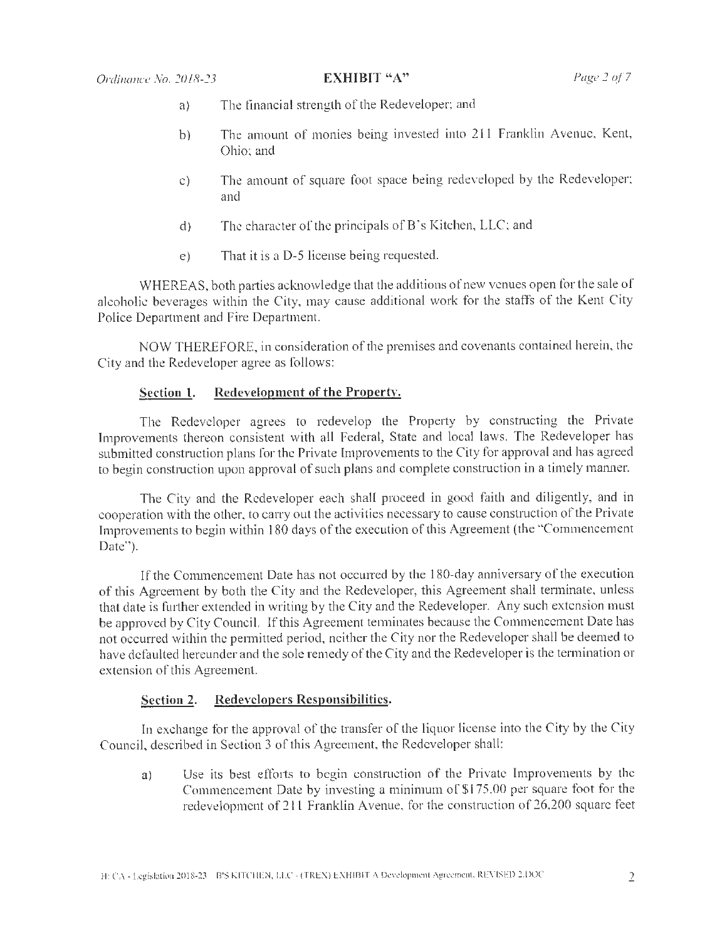- a) The financial strength of the Redeveloper; and
- b) The amount of monies being invested into 211 Franklin Avenue, Kent, Ohio; and
- c) The amount of square foot space being redeveloped by the Redeveloper; and
- $d$ ) The character of the principals of B's Kitchen, LLC; and
- e) That it is a D-5 license being requested.

WHEREAS, both parties acknowledge that the additions of new venues open for the sale of alcoholic beverages within the City, may cause additional work for the staffs of the Kent City Police Department and Fire Department.

NOW THEREFORE, in consideration of the premises and covenants contained herein, the City and the Redeveloper agree as follows:

# **Section 1. Redevelopment of the Propertv.**

The Redeveloper agrees to redevelop the Property by constructing the Private Improvements thereon consistent with all Federal, State and local laws. The Redeveloper has The Redeveloper agrees to redevelop the Property by constructing the Private<br>Improvements thereon consistent with all Federal, State and local laws. The Redeveloper has<br>submitted construction plans for the Private Improvem to begin construction upon approval of such plans and complete construction in a timely manner.

The City and the Redeveloper each shall proceed in good faith and diligently, and in cooperation with the other, to carry out the activities necessary to cause construction of the Private Improvements to begin within 180 days of the execution of this Agreement (the "Commencement Date").

If the Commencement Date has not occurred by the 180-day anniversary of the execution of this Agreement by both the City and the Redeveloper, this Agreement shall terminate, unless that date is further extended in writing by the City and the Redeveloper. Any such extension must be approved by City Council. If this Agreement tenninates because the Commencement Date has not occurred within the permitted period, neither the City nor the Redeveloper shall be deemed to have defaulted hereunder and the sole remedy of the City and the Redeveloper is the termination or extension of this Agreement.

# **Section 2. Redevelopers Responsibilities.**

In exchange for the approval of the transfer of the liquor license into the City by the City Council, described in Section 3 of this Agreement, the Redeveloper shall:

a) Use its best efforts to begin construction of the Private Improvements by the Commencement Date by investing a minimum of \$175.00 per square foot for the redevelopment of 211 Franklin Avenue, for the construction of 26,200 square feet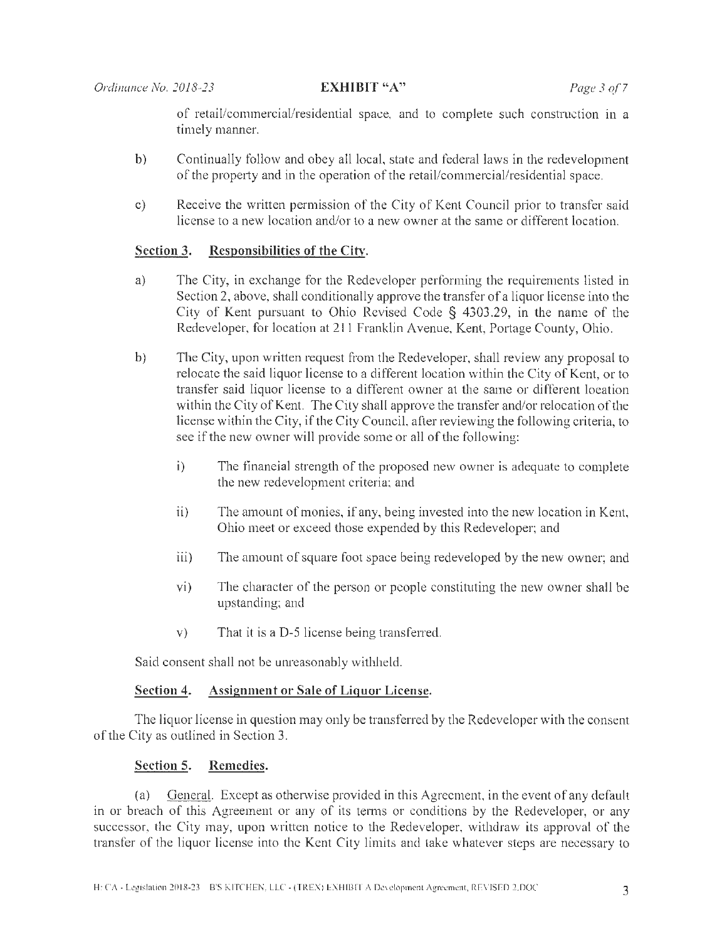of retail/commercial/residential space, and to complete such construction in a timely manner.

- b) Continually follow and obey all local, state and federal laws in the redevelopment of the property and in the operation of the retail/commercial/residential space.
- c) Receive the written permission of the City of Kent Council prior to transfer said license to a new location and/or to a new owner at the same or different location.

# **Section 3. Responsibilities of the City.**

- a) The City, in exchange for the Redeveloper performing the requirements listed in Section 2, above, shall conditionally approve the transfer of a liquor license into the City of Kent pursuant to Ohio Revised Code § 4303.29, in the name of the Redeveloper, for location at 211 Franklin Avenue, Kent, Portage County, Ohio.
- b) The City, upon written request from the Redeveloper, shall review any proposal to relocate the said liquor license to a different location within the City of Kent, or to transfer said liquor license to a different owner at the same or different location within the City of Kent. The City shall approve the transfer and/or relocation of the license within the City, if the City Council, after reviewing the following criteria, to see if the new owner will provide some or all of the following:
	- i) The financial strength of the proposed new owner is adequate to complete the new redevelopment criteria; and
	- $ii)$  The amount of monies, if any, being invested into the new location in Kent, Ohio meet or exceed those expended by this Redeveloper; and
	- iii) The amount of square foot space being redeveloped by the new owner; and
	- vi) The character of the person or people constituting the new owner shall be upstanding; and
	- v) That it is a D-5 license being transferred.

Said consent shall not be unreasonably withheld.

# **Section 4. Assignment or Sale of Liquor License.**

The liquor license in question may only be transferred by the Redeveloper with the consent of the City as outlined in Section 3.

# **Section 5. Remedies.**

(a) General. Except as otherwise provided in this Agreement, in the event of any default in or breach of this Agreement or any of its terms or conditions by the Redeveloper, or any successor, the City may, upon written notice to the Redeveloper, withdraw its approval of the transfer of the liquor license into the Kent City limits and take whatever steps are necessary to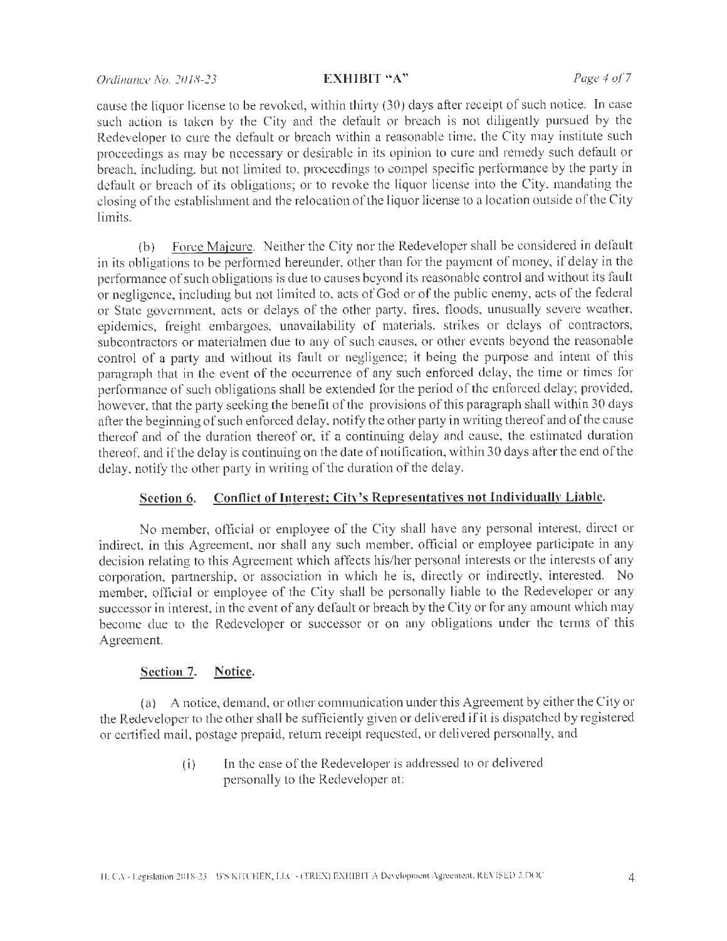## *Ordinance No. 2018-23* **EXHIBIT "A"** *Page 4 of 7*

cause the liquor license to be revoked, within thirty (30) days after receipt of such notice. In case such action is taken by the City and the default or breach is not diligently pursued by the Redeveloper to cure the default or breach within a reasonable time, the City may institute such proceedings as may be necessary or desirable in its opinion to cure and remedy such default or breach, including, but not limited to, proceedings to compel specific performance by the party in default or breach of its obligations; or to revoke the liquor license into the City, mandating the closing of the establishment and the relocation of the liquor license to a location outside of the City limits.

(b) Force Majeure. Neither the City nor the Redeveloper shall be considered in default in its obligations to be performed hereunder, other than for the payment of money, if delay in the performance of such obligations is due to causes beyond its reasonable control and without its fault or negligence, including but not limited to, acts of God or of the public enemy, acts of the federal or State government, acts or delays of the other party, fires, floods, unusually severe weather, epidemics, freight embargoes, unavailability of materials, strikes or delays of contractors, subcontractors or materialmen due to any of such causes, or other events beyond the reasonable control of a party and without its fault or negligence; it being the purpose and intent of this paragraph that in the event of the occurrence of any such enforced delay, the time or times for performance of such obligations shall be extended for the period of the enforced delay; provided, however, that the party seeking the benefit of the provisions of this paragraph shall within 30 days after the beginning of such enforced delay, notify the other party in writing thereof and of the cause thereof and of the duration thereof or, if a continuing delay and cause, the estimated duration thereof, and if the delay is continuing on the date of notification, within 30 days after the end of the delay, notify the other party in writing of the duration of the delay.

## **Section 6. Conflict of Interest; Citv's Representatives not l ndividuallv Liable.**

No member, official or employee of the City shall have any personal interest, direct or indirect, in this Agreement, nor shall any such member, official or employee participate in any decision relating to this Agreement which affects his/her personal interests or the interests of any corporation, partnership, or association in which he is, directly or indirectly, interested. No member, official or employee of the City shall be personally liable to the Redeveloper or any successor in interest, in the event of any default or breach by the City or for any amount which may become clue to the Redeveloper or successor or on any obligations under the terms of this Agreement.

### **Section 7. Notice.**

(a) A notice, demand, or other communication under this Agreement by either the City or the Redeveloper to the other shall be sufficiently given or delivered if it is dispatched by registered or certified mail, postage prepaid, return receipt requested, or delivered personally, and

> **(i)** In the case of the Redeveloper is addressed to or delivered perso nally to the Redeveloper at: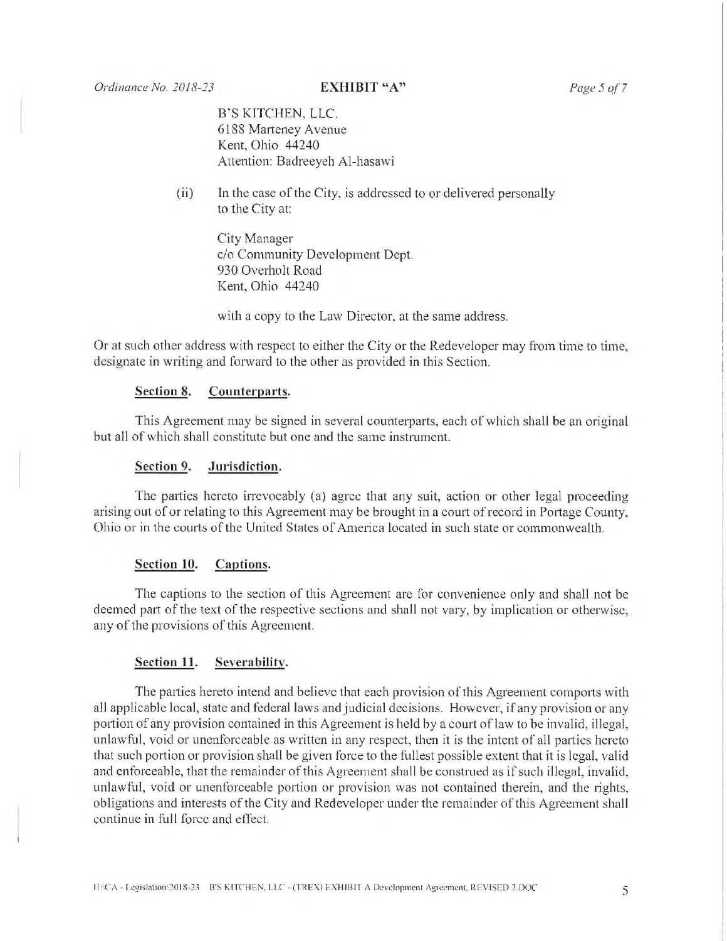B'S KITCHEN, LLC. 6188 Marteney Avenue Kent, Ohio 44240 Attention: Badreeyeh Al-hasawi

(ii) In the case of the City, is addressed to or delivered personally to the City at:

> City Manager c/o Community Development Dept. 930 Overholt Road Kent, Ohio 44240

with a copy to the Law Director, at the same address.

Or at such other address with respect to either the City or the Redeveloper may from time to time, designate in writing and forward to the other as provided in this Section.

## **Section 8. Counterparts.**

This Agreement may be signed in several counterparts, each of which shall be an original but all of which shall constitute but one and the same instrument.

### **Section 9. Jurisdiction.**

The parties hereto irrevocably (a) agree that any suit, action or other legal proceeding arising out of or relating to this Agreement may be brought in a court of record in Portage County, Ohio or in the courts of the United States of America located in such state or commonwealth.

### **Section 10. Captions.**

The captions to the section of this Agreement are for convenience only and shall not be deemed part of the text of the respective sections and shall not vary, by implication or otherwise, any of the provisions of this Agreement.

### **Section 11. Severability.**

The parties hereto intend and believe that each provision of this Agreement comports with all applicable local, state and federal laws and judicial decisions. However, if any provision or any portion of any provision contained in this Agreement is held by a court of law to be invalid, illegal, unlawful, void or unenforceable as written in any respect, then it is the intent of all parties hereto that such portion or provision shall be given force to the fullest possible extent that it is legal, valid and enforceable, that the remainder of this Agreement shall be construed as if such illegal, invalid, unlawful, void or unenforceable portion or provision was not contained therein, and the rights, obligations and interests of the City and Redeveloper under the remainder of this Agreement shall continue in full force and effect.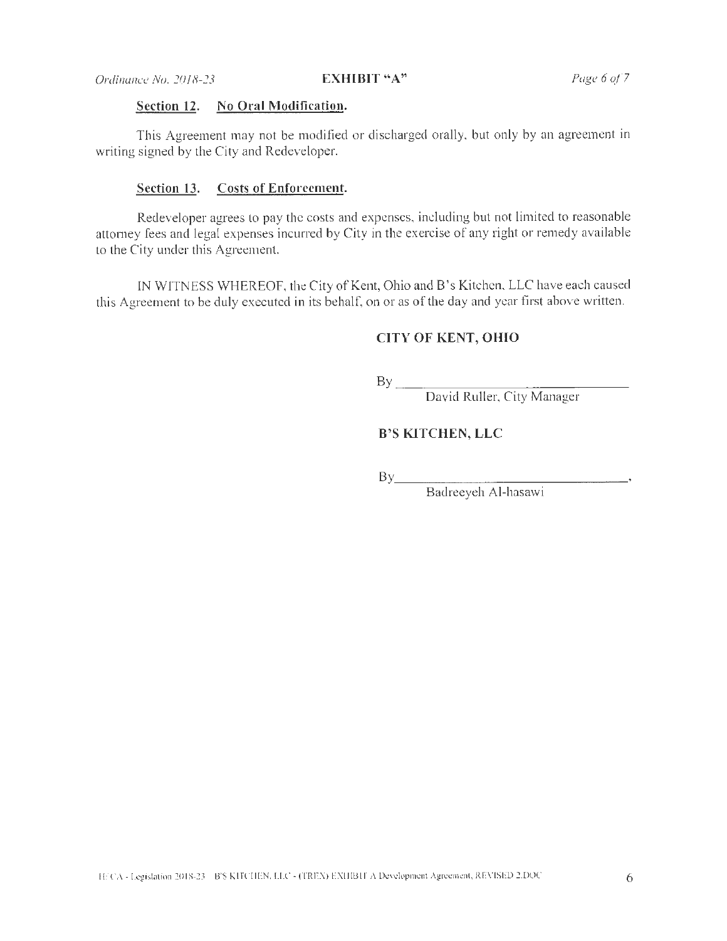# **Section 12. No Oral Modification.**

This Agreement may not be modified or discharged orally, but only by an agreement in writing signed by the City and Redeveloper.

### **Section 13. Costs of Enforcement.**

Redeveloper agrees to pay the costs and expenses, including but not limited to reasonable attorney fees and legal expenses incurred by City in the exercise of any right or remedy available to the City under this Agreement.

IN WITNESS WHEREOF, the City of Kent, Ohio and B's Kitchen, LLC have each caused this Agreement to be duly executed in its behalf, on or as of the day and year first above written.

## **CITY OF KENT, OHIO**

 $\mathbf{B} \mathbf{y}$   $\overline{\mathbf{y}}$   $\overline{\mathbf{y}}$   $\overline{\mathbf{y}}$   $\overline{\mathbf{y}}$   $\overline{\mathbf{y}}$   $\overline{\mathbf{y}}$   $\overline{\mathbf{y}}$   $\overline{\mathbf{y}}$   $\overline{\mathbf{y}}$   $\overline{\mathbf{y}}$   $\overline{\mathbf{y}}$   $\overline{\mathbf{y}}$   $\overline{\mathbf{y}}$   $\overline{\mathbf{y}}$   $\overline{\mathbf{y}}$   $\overline{\mathbf{y}}$   $\overline{\mathbf{y}}$   $\$ 

David Ruller, City Manager

## **B'S KITCHEN, LLC**

 $\mathbf{B} \mathbf{y}$ 

Baclreeyeh Al-hasawi